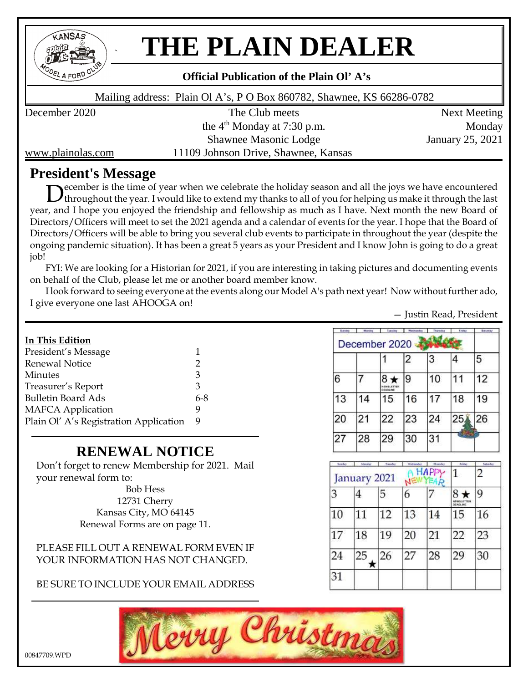

# **` THE PLAIN DEALER**

#### **Official Publication of the Plain Ol' A's**

Mailing address: Plain Ol A's, P O Box 860782, Shawnee, KS 66286-0782

December 2020 The Club meets Next Meeting the  $4<sup>th</sup>$  Monday at 7:30 p.m. Monday Shawnee Masonic Lodge January 25, 2021 www.plainolas.com 11109 Johnson Drive, Shawnee, Kansas

# **President's Message**

December is the time of year when we celebrate the holiday season and all the joys we have encountered<br>throughout the year. I would like to extend my thanks to all of you for helping us make it through the last Ithroughout the year. I would like to extend my thanks to all of you for helping us make it through the last year, and I hope you enjoyed the friendship and fellowship as much as I have. Next month the new Board of Directors/Officers will meet to set the 2021 agenda and a calendar of events for the year. I hope that the Board of Directors/Officers will be able to bring you several club events to participate in throughout the year (despite the ongoing pandemic situation). It has been a great 5 years as your President and I know John is going to do a great job!

FYI: We are looking for a Historian for 2021, if you are interesting in taking pictures and documenting events on behalf of the Club, please let me or another board member know.

I look forward to seeing everyone at the events along our Model A's path next year! Now without further ado, I give everyone one last AHOOGA on!

— Justin Read, President

| In This Edition                        |         |
|----------------------------------------|---------|
| President's Message                    | 1       |
| Renewal Notice                         | 2       |
| Minutes                                | 3       |
| Treasurer's Report                     | 3       |
| <b>Bulletin Board Ads</b>              | $6 - 8$ |
| <b>MAFCA</b> Application               | 9       |
| Plain Ol' A's Registration Application | 9       |

# **RENEWAL NOTICE**

Don't forget to renew Membership for 2021. Mail your renewal form to:

> Bob Hess 12731 Cherry Kansas City, MO 64145 Renewal Forms are on page 11.

PLEASE FILL OUT A RENEWAL FORM EVEN IF YOUR INFORMATION HAS NOT CHANGED.

BE SURE TO INCLUDE YOUR EMAIL ADDRESS



00847709.WPD

| <b>Survitor</b> | Monday | Teknology               | Wednesday | Titurtadae | Friday          | <b>Batsaday</b> |
|-----------------|--------|-------------------------|-----------|------------|-----------------|-----------------|
|                 |        | December 2020           |           |            |                 |                 |
|                 |        |                         | 2         | 3          |                 | 5               |
| 6               |        | $8 \star 9$<br>DEADLINE |           | 10         | ำ               | 12              |
| 13              | 14     | 15                      | 16        | 17         | 18              | 19              |
| 20              | 21     | 22                      | 23        | 24         | 25 <sub>A</sub> | 26              |
| 27              | 28     | 29                      | 30        | 31         |                 |                 |

| Sex fax: | . Makday     | Tacadas | Wednesday | <b>Thunder</b> | Editor                                | Scholder |
|----------|--------------|---------|-----------|----------------|---------------------------------------|----------|
|          | January 2021 |         |           | HAPPY          | 1                                     | 2        |
| 3        | 4            | 5       | 6         |                | $8*$<br><b>NEWSLETTER</b><br>DEADLINE | 9        |
| 10       | 11           | 12      | 13        | 14             | 15                                    | 16       |
| 17       | 18           | 19      | 20        | 21             | 22                                    | 23       |
| 24       | 25           | 26      | 27        | 28             | 29                                    | 30       |
| 31       |              |         |           |                |                                       |          |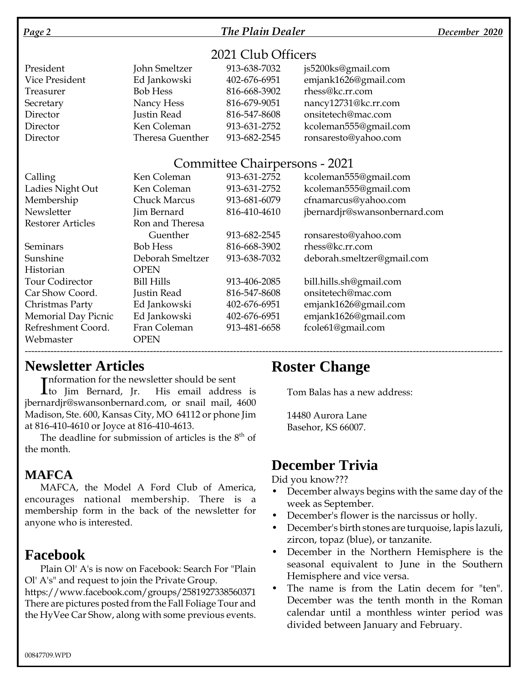### *Page 2 The Plain Dealer December 2020*

### 2021 Club Officers

| President      | John Smeltzer           | 913-638-7032 | js5200ks@gmail.com    |
|----------------|-------------------------|--------------|-----------------------|
| Vice President | Ed Jankowski            | 402-676-6951 | emjank1626@gmail.com  |
| Treasurer      | <b>Bob Hess</b>         | 816-668-3902 | rhess@kc.rr.com       |
| Secretary      | Nancy Hess              | 816-679-9051 | nancy12731@kc.rr.com  |
| Director       | Justin Read             | 816-547-8608 | onsitetech@mac.com    |
| Director       | Ken Coleman             | 913-631-2752 | kcoleman555@gmail.com |
| Director       | <b>Theresa Guenther</b> | 913-682-2545 | ronsaresto@yahoo.com  |
|                |                         |              |                       |

### Committee Chairpersons - 2021

| Calling                    | Ken Coleman         | 913-631-2752 | kcoleman555@gmail.com         |
|----------------------------|---------------------|--------------|-------------------------------|
| Ladies Night Out           | Ken Coleman         | 913-631-2752 | kcoleman555@gmail.com         |
| Membership                 | <b>Chuck Marcus</b> | 913-681-6079 | cfnamarcus@yahoo.com          |
| Newsletter                 | Jim Bernard         | 816-410-4610 | jbernardjr@swansonbernard.com |
| <b>Restorer Articles</b>   | Ron and Theresa     |              |                               |
|                            | Guenther            | 913-682-2545 | ronsaresto@yahoo.com          |
| Seminars                   | <b>Bob Hess</b>     | 816-668-3902 | rhess@kc.rr.com               |
| Sunshine                   | Deborah Smeltzer    | 913-638-7032 | deborah.smeltzer@gmail.com    |
| Historian                  | <b>OPEN</b>         |              |                               |
| Tour Codirector            | <b>Bill Hills</b>   | 913-406-2085 | bill.hills.sh@gmail.com       |
| Car Show Coord.            | Justin Read         | 816-547-8608 | onsitetech@mac.com            |
| Christmas Party            | Ed Jankowski        | 402-676-6951 | emjank1626@gmail.com          |
| <b>Memorial Day Picnic</b> | Ed Jankowski        | 402-676-6951 | emjank1626@gmail.com          |
| Refreshment Coord.         | Fran Coleman        | 913-481-6658 | fcole61@gmail.com             |
| Webmaster                  | <b>OPEN</b>         |              |                               |
|                            |                     |              |                               |

# **Newsletter Articles**

**Theormation for the newsletter should be sent** 

Information for the newsletter should be sent<br>Ito Jim Bernard, Jr. His email address is jbernardjr@swansonbernard.com, or snail mail, 4600 Madison, Ste. 600, Kansas City, MO 64112 or phone Jim at 816-410-4610 or Joyce at 816-410-4613.

The deadline for submission of articles is the  $8<sup>th</sup>$  of the month.

# **MAFCA**

MAFCA, the Model A Ford Club of America, encourages national membership. There is a membership form in the back of the newsletter for anyone who is interested.

# **Facebook**

Plain Ol' A's is now on Facebook: Search For "Plain Ol' A's" and request to join the Private Group.

https://www.facebook.com/groups/2581927338560371 There are pictures posted from the Fall Foliage Tour and the HyVee Car Show, along with some previous events.

# **Roster Change**

Tom Balas has a new address:

14480 Aurora Lane Basehor, KS 66007.

# **December Trivia**

Did you know???

- December always begins with the same day of the week as September.
- December's flower is the narcissus or holly.
- December's birth stones are turquoise, lapis lazuli, zircon, topaz (blue), or tanzanite.
- December in the Northern Hemisphere is the seasonal equivalent to June in the Southern Hemisphere and vice versa.
- The name is from the Latin decem for "ten". December was the tenth month in the Roman calendar until a monthless winter period was divided between January and February.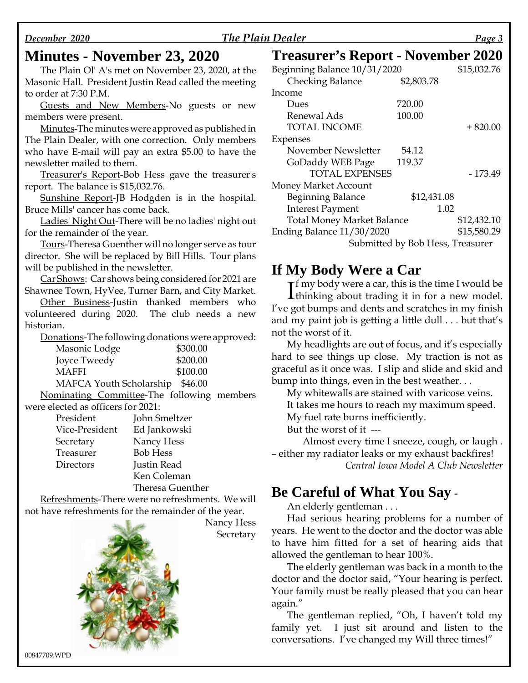#### *December 2020 The Plain Dealer Page 3*

# **Minutes - November 23, 2020**

The Plain Ol' A's met on November 23, 2020, at the Masonic Hall. President Justin Read called the meeting to order at 7:30 P.M.

Guests and New Members-No guests or new members were present.

Minutes-The minutes were approved as published in The Plain Dealer, with one correction. Only members who have E-mail will pay an extra \$5.00 to have the newsletter mailed to them.

Treasurer's Report-Bob Hess gave the treasurer's report. The balance is \$15,032.76.

Sunshine Report-JB Hodgden is in the hospital. Bruce Mills' cancer has come back.

Ladies' Night Out-There will be no ladies' night out for the remainder of the year.

Tours-Theresa Guenther will no longer serve as tour director. She will be replaced by Bill Hills. Tour plans will be published in the newsletter.

Car Shows: Car shows being considered for 2021 are Shawnee Town, HyVee, Turner Barn, and City Market.

Other Business-Justin thanked members who volunteered during 2020. The club needs a new historian.

Donations-The following donations were approved:

| Masonic Lodge                   | \$300.00 |
|---------------------------------|----------|
| Joyce Tweedy                    | \$200.00 |
| <b>MAFFI</b>                    | \$100.00 |
| MAFCA Youth Scholarship \$46.00 |          |

Nominating Committee-The following members were elected as officers for 2021:

| President      | John Smeltzer    |
|----------------|------------------|
| Vice-President | Ed Jankowski     |
| Secretary      | Nancy Hess       |
| Treasurer      | <b>Bob Hess</b>  |
| Directors      | Justin Read      |
|                | Ken Coleman      |
|                | Theresa Guenther |

Refreshments-There were no refreshments. We will not have refreshments for the remainder of the year.



Nancy Hess Secretary

# **Treasurer's Report - November 2020**

| Beginning Balance 10/31/2020      |             | \$15,032.76 |  |
|-----------------------------------|-------------|-------------|--|
| <b>Checking Balance</b>           | \$2,803.78  |             |  |
| Income                            |             |             |  |
| Dues                              | 720.00      |             |  |
| Renewal Ads                       | 100.00      |             |  |
| TOTAL INCOME                      |             | $+820.00$   |  |
| Expenses                          |             |             |  |
| November Newsletter               | 54.12       |             |  |
| GoDaddy WEB Page                  | 119.37      |             |  |
| <b>TOTAL EXPENSES</b>             |             | - 173.49    |  |
| Money Market Account              |             |             |  |
| <b>Beginning Balance</b>          | \$12,431.08 |             |  |
| <b>Interest Payment</b>           |             | 1.02        |  |
| <b>Total Money Market Balance</b> |             | \$12,432.10 |  |
| Ending Balance 11/30/2020         |             | \$15,580.29 |  |
| Submitted by Bob Hess, Treasurer  |             |             |  |

## **If My Body Were a Car**

 $\prod$ f my body were a car, this is the time I would be thinking about trading it in for a new model.  $\mathbf{T}$ f my body were a car, this is the time I would be I've got bumps and dents and scratches in my finish and my paint job is getting a little dull . . . but that's not the worst of it.

My headlights are out of focus, and it's especially hard to see things up close. My traction is not as graceful as it once was. I slip and slide and skid and bump into things, even in the best weather...

My whitewalls are stained with varicose veins. It takes me hours to reach my maximum speed. My fuel rate burns inefficiently.

But the worst of it ---

Almost every time I sneeze, cough, or laugh . – either my radiator leaks or my exhaust backfires!

*Central Iowa Model A Club Newsletter*

## **Be Careful of What You Say -**

An elderly gentleman . . .

Had serious hearing problems for a number of years. He went to the doctor and the doctor was able to have him fitted for a set of hearing aids that allowed the gentleman to hear 100%.

The elderly gentleman was back in a month to the doctor and the doctor said, "Your hearing is perfect. Your family must be really pleased that you can hear again."

The gentleman replied, "Oh, I haven't told my family yet. I just sit around and listen to the conversations. I've changed my Will three times!"

00847709.WPD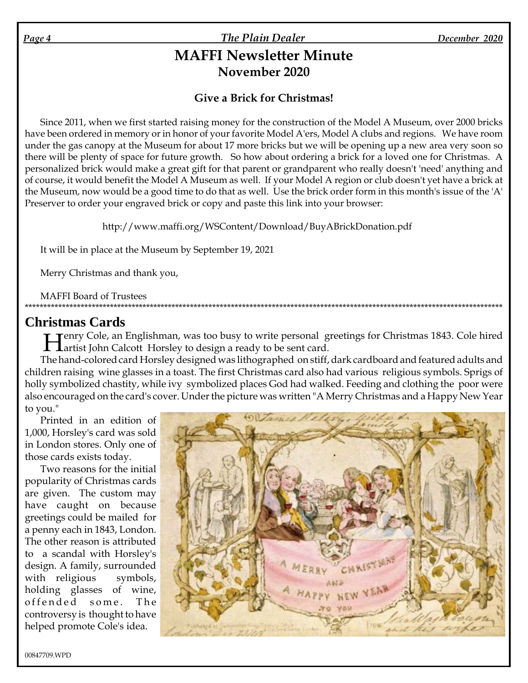*Page 4 The Plain Dealer December 2020*

# **MAFFI Newsletter Minute November 2020**

# **Give a Brick for Christmas!**

Since 2011, when we first started raising money for the construction of the Model A Museum, over 2000 bricks have been ordered in memory or in honor of your favorite Model A'ers, Model A clubs and regions. We have room under the gas canopy at the Museum for about 17 more bricks but we will be opening up a new area very soon so there will be plenty of space for future growth. So how about ordering a brick for a loved one for Christmas. A personalized brick would make a great gift for that parent or grandparent who really doesn't 'need' anything and of course, it would benefit the Model A Museum as well. If your Model A region or club doesn't yet have a brick at the Museum, now would be a good time to do that as well. Use the brick order form in this month's issue of the 'A' Preserver to order your engraved brick or copy and paste this link into your browser:

http://www.maffi.org/WSContent/Download/BuyABrickDonation.pdf

It will be in place at the Museum by September 19, 2021

Merry Christmas and thank you,

MAFFI Board of Trustees

# **Christmas Cards**

**HERRY Cole, an Englishman, was too busy to write personal general** gartist John Calcott Horsley to design a ready to be sent card. **Tenry Cole, an Englishman, was too busy to write personal greetings for Christmas 1843. Cole hired** 

\*\*\*\*\*\*\*\*\*\*\*\*\*\*\*\*\*\*\*\*\*\*\*\*\*\*\*\*\*\*\*\*\*\*\*\*\*\*\*\*\*\*\*\*\*\*\*\*\*\*\*\*\*\*\*\*\*\*\*\*\*\*\*\*\*\*\*\*\*\*\*\*\*\*\*\*\*\*\*\*\*\*\*\*\*\*\*\*\*\*\*\*\*\*\*\*\*\*\*\*\*\*\*\*\*\*\*\*\*\*\*\*\*\*\*\*\*\*\*\*\*\*\*\*\*\*\*\*\*

The hand-colored card Horsley designed was lithographed on stiff, dark cardboard and featured adults and children raising wine glasses in a toast. The first Christmas card also had various religious symbols. Sprigs of holly symbolized chastity, while ivy symbolized places God had walked. Feeding and clothing the poor were also encouraged on the card's cover. Under the picture was written "A Merry Christmas and a Happy New Year to you."

Printed in an edition of 1,000, Horsley's card was sold in London stores. Only one of those cards exists today.

Two reasons for the initial popularity of Christmas cards are given. The custom may have caught on because greetings could be mailed for a penny each in 1843, London. The other reason is attributed to a scandal with Horsley's design. A family, surrounded with religious symbols, holding glasses of wine, offended some. The controversy is thought to have helped promote Cole's idea.

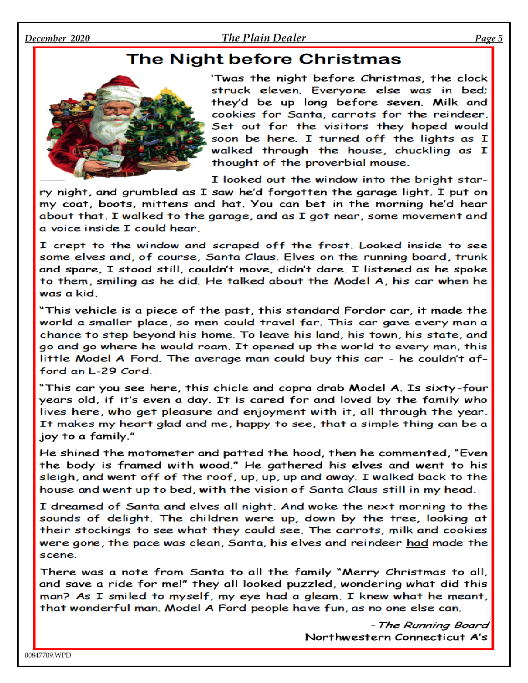#### *December 2020 The Plain Dealer Page 5*

# **The Night before Christmas**



'Twas the night before Christmas, the clock struck eleven. Everyone else was in bed; they'd be up long before seven. Milk and cookies for Santa, carrots for the reindeer. Set out for the visitors they hoped would soon be here. I turned off the lights as I walked through the house, chuckling as I thought of the proverbial mouse.

I looked out the window into the bright star-

ry night, and grumbled as I saw he'd forgotten the garage light. I put on my coat, boots, mittens and hat. You can bet in the morning he'd hear about that. I walked to the garage, and as I got near, some movement and a voice inside I could hear.

I crept to the window and scraped off the frost. Looked inside to see some elves and, of course, Santa Claus. Elves on the running board, trunk and spare, I stood still, couldn't move, didn't dare. I listened as he spoke to them, smiling as he did. He talked about the Model A, his car when he was a kid.

"This vehicle is a piece of the past, this standard Fordor car, it made the world a smaller place, so men could travel far. This car gave every man a chance to step beyond his home. To leave his land, his town, his state, and go and go where he would roam. It opened up the world to every man, this little Model A Ford. The average man could buy this car - he couldn't afford an L-29 Cord.

"This car you see here, this chicle and copra drab Model A. Is sixty-four years old, if it's even a day. It is cared for and loved by the family who lives here, who get pleasure and enjoyment with it, all through the year. It makes my heart glad and me, happy to see, that a simple thing can be a joy to a family."

He shined the motometer and patted the hood, then he commented, "Even the body is framed with wood." He gathered his elves and went to his sleigh, and went off of the roof, up, up, up and away. I walked back to the house and went up to bed, with the vision of Santa Claus still in my head.

I dreamed of Santa and elves all night. And woke the next morning to the sounds of delight. The children were up, down by the tree, looking at their stockings to see what they could see. The carrots, milk and cookies were gone, the pace was clean, Santa, his elves and reindeer had made the scene.

There was a note from Santa to all the family "Merry Christmas to all, and save a ride for me!" they all looked puzzled, wondering what did this man? As I smiled to myself, my eye had a gleam. I knew what he meant, that wonderful man. Model A Ford people have fun, as no one else can.

> - The Running Board Northwestern Connecticut A's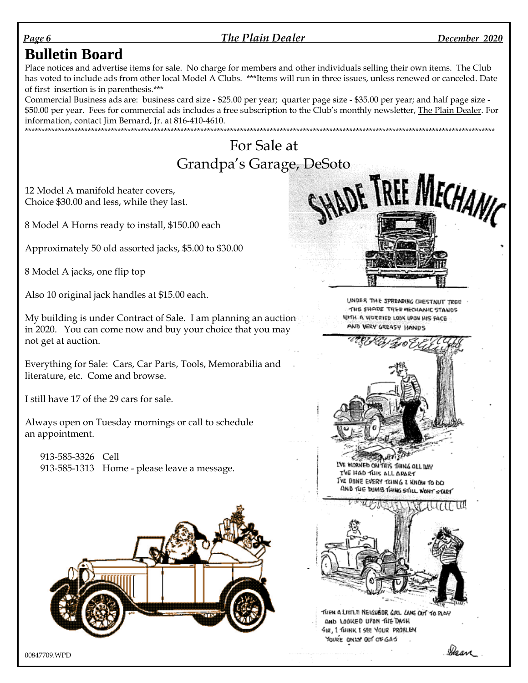#### *Page 6 The Plain Dealer December 2020*

# **Bulletin Board**

Place notices and advertise items for sale. No charge for members and other individuals selling their own items. The Club has voted to include ads from other local Model A Clubs. \*\*\*Items will run in three issues, unless renewed or canceled. Date of first insertion is in parenthesis.\*\*\*

Commercial Business ads are: business card size - \$25.00 per year; quarter page size - \$35.00 per year; and half page size - \$50.00 per year. Fees for commercial ads includes a free subscription to the Club's monthly newsletter, The Plain Dealer. For information, contact Jim Bernard, Jr. at 816-410-4610.

# For Sale at Grandpa's Garage, DeSoto

12 Model A manifold heater covers, Choice \$30.00 and less, while they last.

\*\*\*\*\*\*\*\*\*\*\*\*\*\*\*\*\*\*\*\*\*\*\*\*\*\*\*\*\*\*\*\*\*\*\*\*\*\*\*\*\*\*\*\*\*\*\*\*\*\*\*\*\*\*\*\*\*\*\*\*\*\*\*\*\*\*\*\*\*\*\*\*\*\*\*\*\*\*\*\*\*\*\*\*\*\*\*\*\*\*\*\*\*\*\*\*\*\*\*\*\*\*\*\*\*\*\*\*\*\*\*\*\*\*\*\*\*\*\*\*\*\*\*\*\*\*\*\*\*\*\*\*\*\*\*\*\*\*\*\*\*\*

8 Model A Horns ready to install, \$150.00 each

Approximately 50 old assorted jacks, \$5.00 to \$30.00

8 Model A jacks, one flip top

Also 10 original jack handles at \$15.00 each.

My building is under Contract of Sale. I am planning an auction in 2020. You can come now and buy your choice that you may not get at auction.

Everything for Sale: Cars, Car Parts, Tools, Memorabilia and literature, etc. Come and browse.

I still have 17 of the 29 cars for sale.

Always open on Tuesday mornings or call to schedule an appointment.

913-585-3326 Cell 913-585-1313 Home - please leave a message.





UNDER THE SPREADING CHESTNIJT TREE THE SHADE TREE MECHANIC STANDS WITH A WORRIED LOOK UPON HIS FACE AND VERY GREASY HANDS



I'VE WORKED ON THIS THING OLL DAY TVE HAD THIS ALL APART TVE DONE EVERY TOING I KNOW TO DO AND THE DUMB THING STILL NONT START



TUEN A LITTLE NEIGHBDR GIRL CANE OUT TO PLAY and Looked upan the Dash FIR, I THINK I SEE YOUR PROBLEM YOURE ONLY OUT OF GAS

rkean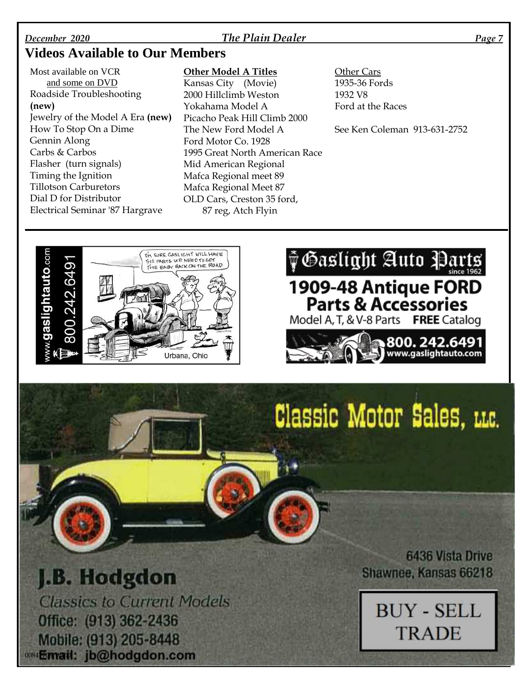#### *December 2020 The Plain Dealer Page 7*

# **Videos Available to Our Members**

Most available on VCR and some on DVD Roadside Troubleshooting **(new)** Jewelry of the Model A Era **(new)** How To Stop On a Dime Gennin Along Carbs & Carbos Flasher (turn signals) Timing the Ignition Tillotson Carburetors Dial D for Distributor Electrical Seminar '87 Hargrave

#### **Other Model A Titles**

Kansas City (Movie) 2000 Hillclimb Weston Yokahama Model A Picacho Peak Hill Climb 2000 The New Ford Model A Ford Motor Co. 1928 1995 Great North American Race Mid American Regional Mafca Regional meet 89 Mafca Regional Meet 87 OLD Cars, Creston 35 ford, 87 reg, Atch Flyin

Other Cars 1935-36 Fords 1932 V8 Ford at the Races

See Ken Coleman 913-631-2752



# **VGaslight Auto Parts** 1909-48 Antique FORD **Parts & Accessories** Model A, T, & V-8 Parts FREE Catalog



# Classic Motor Sales, LLC.

# J.B. Hodgdon **Classics to Current Models** Office: (913) 362-2436 Mobile: (913) 205-8448 0084 Forward: jb@hodgdon.com

**6436 Vista Drive** Shawnee, Kansas 66218

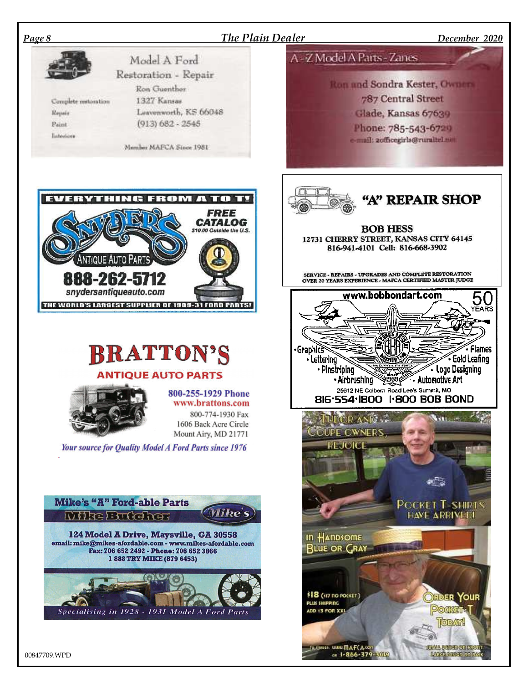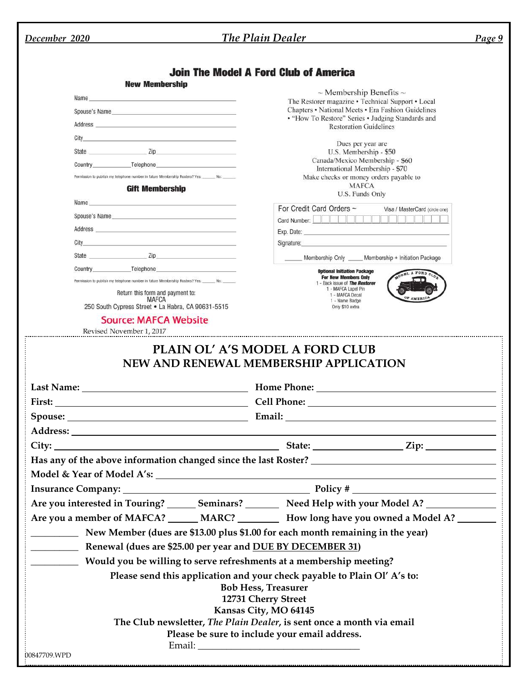*December 2020 The Plain Dealer Page 9* **Join The Model A Ford Club of America New Membership**  $\sim$  Membership Benefits  $\sim$ Name The Restorer magazine • Technical Support • Local Chapters • National Meets • Era Fashion Guidelines Spouse's Name • "How To Restore" Series • Judging Standards and Address **Restoration Guidelines** City Dues per year are  $\mathsf{Zip}$ State U.S. Membership - \$50 Canada/Mexico Membership - \$60 Country\_ \_\_Telephone\_\_ International Membership - \$70 Permission to publish my telephone number in future Membership Rosters? Yes: \_\_\_\_\_\_ No: Make checks or money orders payable to **MAFCA Gift Membership** U.S. Funds Only Name For Credit Card Orders ~ Visa / MasterCard (circle one) Spouse's Name Card Number: **ENRICH HENDER (ENRICHA)** Address Exp. Date: City\_\_\_\_\_\_ Signature:  $\mathsf{Zip}$ State Membership Only \_\_\_\_\_ Membership + Initiation Package Telephone Country **Optional Initiation Package** For New Members Only Permission to publish my telephone number in tuture Membership Rosters? Yes: \_\_\_\_\_\_ No: \_ 1 - Back issue of The Restorer 1 - MAFCA Lapel Pin Return this form and payment to: 1 - MAFCA Decal **MAFCA** 1 - Name Badge 250 South Cypress Street . La Habra, CA 90631-5515 Only \$10 extra Source: MAFCA Website **PLAIN OL' A'S MODEL A FORD CLUB NEW AND RENEWAL MEMBERSHIP APPLICATION Last Name: Home Phone: Home Phone: Home Phone: Home Phone: Home Phone: Home Phone: Home Phone: Home Phone: Home Phone: Home Phone: Home Phone: Home Phone: Home Phone: Home Phone: Home Phone: First: Cell Phone: Spouse: Email: Address: City: State: Zip: Has any of the above information changed since the last Roster? Model & Year of Model A's: Insurance Company: Policy #** Are you interested in Touring? \_\_\_\_\_\_\_ Seminars? \_\_\_\_\_\_\_\_ Need Help with your Model A? \_\_\_\_\_\_ Are you a member of MAFCA? \_\_\_\_\_\_ MARC? \_\_\_\_\_\_\_\_ How long have you owned a Model A? **\_\_\_\_\_\_\_\_\_\_ New Member (dues are \$13.00 plus \$1.00 for each month remaining in the year) \_\_\_\_\_\_\_\_\_\_ Renewal (dues are \$25.00 per year and DUE BY DECEMBER 31) \_\_\_\_\_\_\_\_\_\_ Would you be willing to serve refreshments at a membership meeting? Please send this application and your check payable to Plain Ol' A's to: Bob Hess, Treasurer 12731 Cherry Street Kansas City, MO 64145 The Club newsletter,** *The Plain Dealer***, is sent once a month via email Please be sure to include your email address.** Email: \_\_\_\_\_\_\_\_\_\_\_\_\_\_\_\_\_\_\_\_\_\_\_\_\_\_\_\_\_\_\_\_\_\_

00847709.WPD